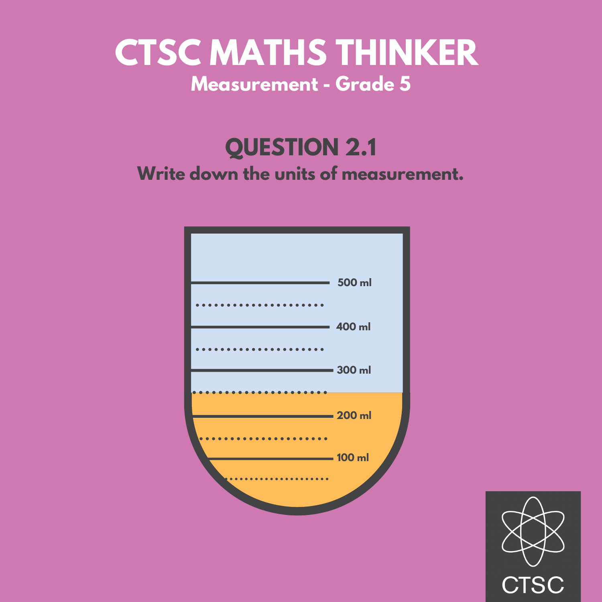## **QUESTION 2.1**



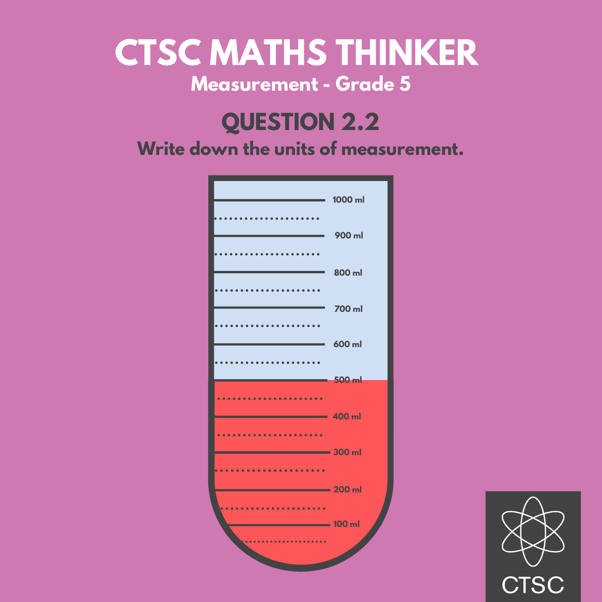#### **QUESTION 2.2**



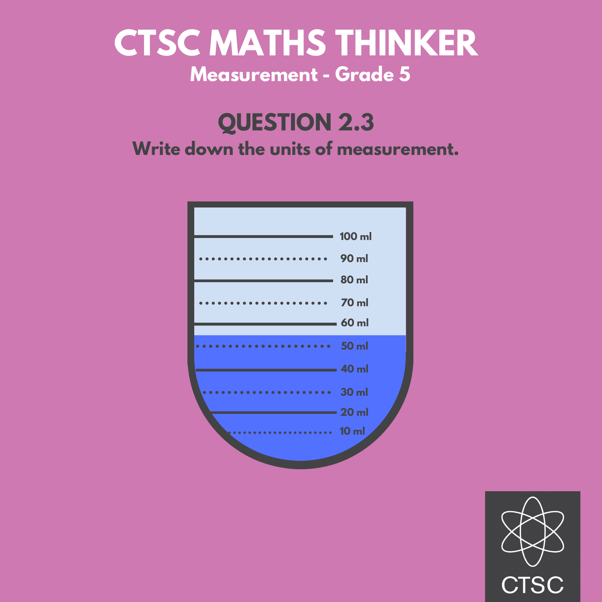#### **QUESTION 2.3**



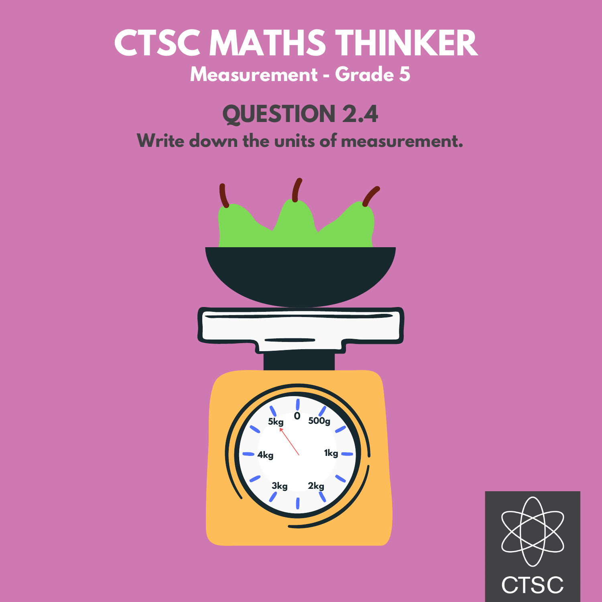## **QUESTION 2.4**



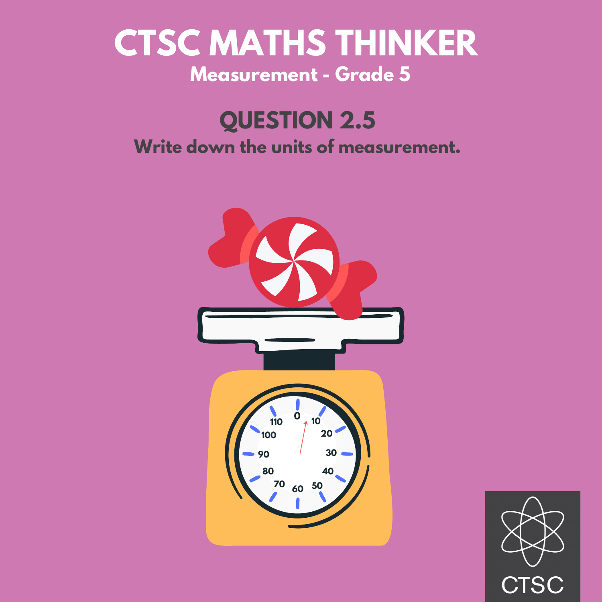#### **QUESTION 2.5**



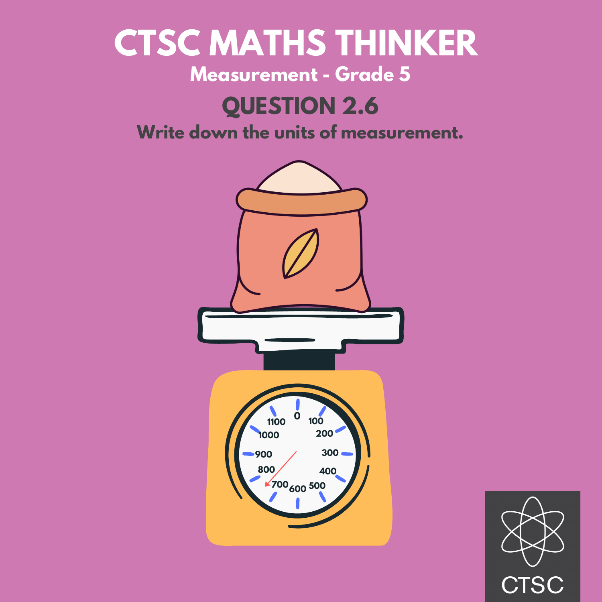# **CTSC MATHS THINKER**

#### **Measurement - Grade 5**

#### **QUESTION 2.6**



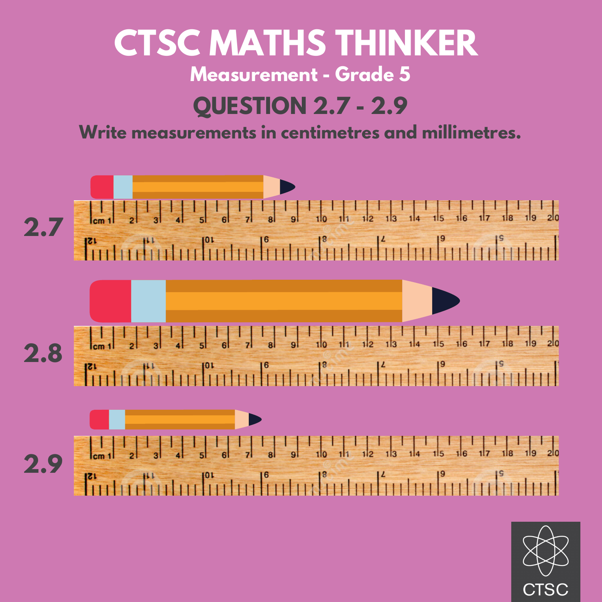## **QUESTION 2.7 - 2.9 CTSC MATHS THINKER Measurement - Grade 5**

#### **Write measurements in centimetres and millimetres.**